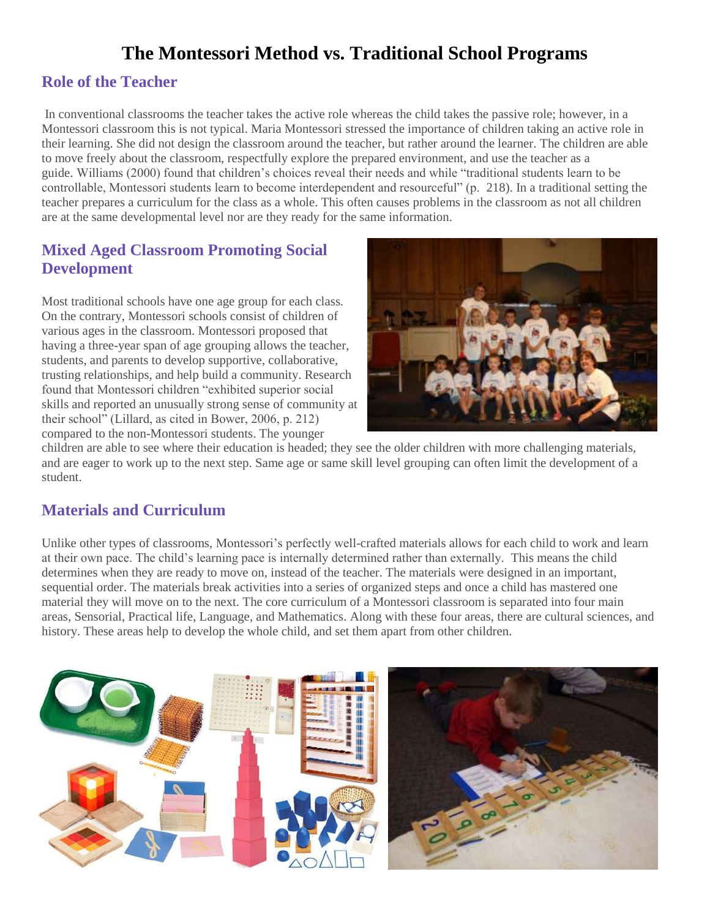# **The Montessori Method vs. Traditional School Programs**

### **Role of the Teacher**

In conventional classrooms the teacher takes the active role whereas the child takes the passive role; however, in a Montessori classroom this is not typical. Maria Montessori stressed the importance of children taking an active role in their learning. She did not design the classroom around the teacher, but rather around the learner. The children are able to move freely about the classroom, respectfully explore the prepared environment, and use the teacher as a guide. Williams (2000) found that children's choices reveal their needs and while "traditional students learn to be controllable, Montessori students learn to become interdependent and resourceful" (p. 218). In a traditional setting the teacher prepares a curriculum for the class as a whole. This often causes problems in the classroom as not all children are at the same developmental level nor are they ready for the same information.

### **Mixed Aged Classroom Promoting Social Development**

Most traditional schools have one age group for each class. On the contrary, Montessori schools consist of children of various ages in the classroom. Montessori proposed that having a three-year span of age grouping allows the teacher, students, and parents to develop supportive, collaborative, trusting relationships, and help build a community. Research found that Montessori children "exhibited superior social skills and reported an unusually strong sense of community at their school" (Lillard, as cited in Bower, 2006, p. 212) compared to the non-Montessori students. The younger



children are able to see where their education is headed; they see the older children with more challenging materials, and are eager to work up to the next step. Same age or same skill level grouping can often limit the development of a student.

# **Materials and Curriculum**

Unlike other types of classrooms, Montessori's perfectly well-crafted materials allows for each child to work and learn at their own pace. The child's learning pace is internally determined rather than externally. This means the child determines when they are ready to move on, instead of the teacher. The materials were designed in an important, sequential order. The materials break activities into a series of organized steps and once a child has mastered one material they will move on to the next. The core curriculum of a Montessori classroom is separated into four main areas, Sensorial, Practical life, Language, and Mathematics. Along with these four areas, there are cultural sciences, and history. These areas help to develop the whole child, and set them apart from other children.